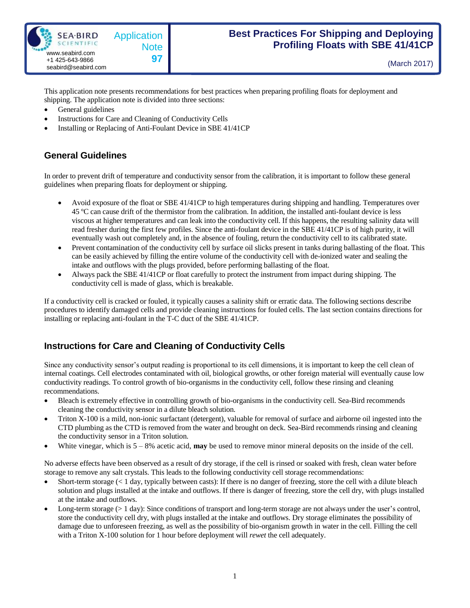

(March 2017)

This application note presents recommendations for best practices when preparing profiling floats for deployment and shipping. The application note is divided into three sections:

- General guidelines
- Instructions for Care and Cleaning of Conductivity Cells
- Installing or Replacing of Anti-Foulant Device in SBE 41/41CP

## **General Guidelines**

In order to prevent drift of temperature and conductivity sensor from the calibration, it is important to follow these general guidelines when preparing floats for deployment or shipping.

- Avoid exposure of the float or SBE 41/41CP to high temperatures during shipping and handling. Temperatures over 45 ºC can cause drift of the thermistor from the calibration. In addition, the installed anti-foulant device is less viscous at higher temperatures and can leak into the conductivity cell. If this happens, the resulting salinity data will read fresher during the first few profiles. Since the anti-foulant device in the SBE 41/41CP is of high purity, it will eventually wash out completely and, in the absence of fouling, return the conductivity cell to its calibrated state.
- Prevent contamination of the conductivity cell by surface oil slicks present in tanks during ballasting of the float. This can be easily achieved by filling the entire volume of the conductivity cell with de-ionized water and sealing the intake and outflows with the plugs provided, before performing ballasting of the float.
- Always pack the SBE 41/41CP or float carefully to protect the instrument from impact during shipping. The conductivity cell is made of glass, which is breakable.

If a conductivity cell is cracked or fouled, it typically causes a salinity shift or erratic data. The following sections describe procedures to identify damaged cells and provide cleaning instructions for fouled cells. The last section contains directions for installing or replacing anti-foulant in the T-C duct of the SBE 41/41CP.

## **Instructions for Care and Cleaning of Conductivity Cells**

Since any conductivity sensor's output reading is proportional to its cell dimensions, it is important to keep the cell clean of internal coatings. Cell electrodes contaminated with oil, biological growths, or other foreign material will eventually cause low conductivity readings. To control growth of bio-organisms in the conductivity cell, follow these rinsing and cleaning recommendations.

- Bleach is extremely effective in controlling growth of bio-organisms in the conductivity cell. Sea-Bird recommends cleaning the conductivity sensor in a dilute bleach solution.
- Triton X-100 is a mild, non-ionic surfactant (detergent), valuable for removal of surface and airborne oil ingested into the CTD plumbing as the CTD is removed from the water and brought on deck. Sea-Bird recommends rinsing and cleaning the conductivity sensor in a Triton solution.
- White vinegar, which is 5 8% acetic acid, **may** be used to remove minor mineral deposits on the inside of the cell.

No adverse effects have been observed as a result of dry storage, if the cell is rinsed or soaked with fresh, clean water before storage to remove any salt crystals. This leads to the following conductivity cell storage recommendations:

- Short-term storage  $(< 1 \text{ day}$ , typically between casts): If there is no danger of freezing, store the cell with a dilute bleach solution and plugs installed at the intake and outflows. If there is danger of freezing, store the cell dry, with plugs installed at the intake and outflows.
- Long-term storage (> 1 day): Since conditions of transport and long-term storage are not always under the user's control, store the conductivity cell dry, with plugs installed at the intake and outflows. Dry storage eliminates the possibility of damage due to unforeseen freezing, as well as the possibility of bio-organism growth in water in the cell. Filling the cell with a Triton X-100 solution for 1 hour before deployment will *rewet* the cell adequately.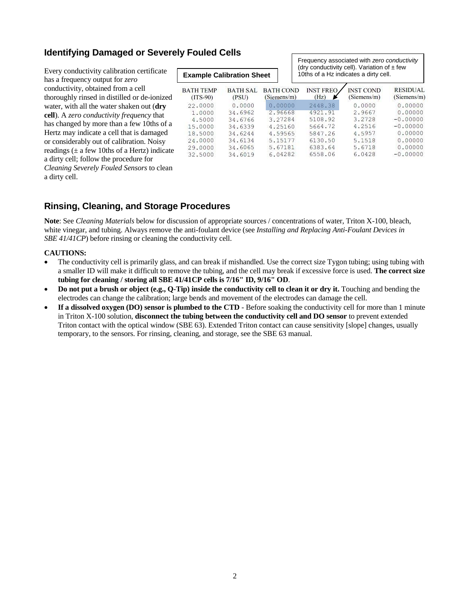# **Identifying Damaged or Severely Fouled Cells**

Every conductivity calibration certificate has a frequency output for *zero* conductivity, obtained from a cell thoroughly rinsed in distilled or de-ionized water, with all the water shaken out (**dry cell**). A *zero conductivity frequency* that has changed by more than a few 10ths of a Hertz may indicate a cell that is damaged or considerably out of calibration. Noisy readings  $(\pm$  a few 10ths of a Hertz) indicate a dirty cell; follow the procedure for *Cleaning Severely Fouled Sensors* to clean a dirty cell.

| <b>Example Calibration Sheet</b> |                          |                                 | (dry conductivity cell). Variation of $\pm$ few<br>10ths of a Hz indicates a dirty cell. |                                 |                                |
|----------------------------------|--------------------------|---------------------------------|------------------------------------------------------------------------------------------|---------------------------------|--------------------------------|
| <b>BATH TEMP</b><br>$(TTS-90)$   | <b>BATH SAL</b><br>(PSU) | <b>BATH COND</b><br>(Siemens/m) | <b>INST FREO</b><br>(Hz)                                                                 | <b>INST COND</b><br>(Siemens/m) | <b>RESIDUAL</b><br>(Siemens/m) |
| 22,0000                          | 0.0000                   | 0.00000                         | 2448.38                                                                                  | 0.0000                          | 0.00000                        |
| 1,0000                           | 34.6962                  | 2.96668                         | 4921.91                                                                                  | 2.9667                          | 0,00000                        |
| 4.5000                           | 34.6766                  | 3.27284                         | 5108.92                                                                                  | 3.2728                          | $-0.00000$                     |
| 15,0000                          | 34.6339                  | 4.25160                         | 5664.72                                                                                  | 4.2516                          | $-0.00000$                     |
| 18,5000                          | 34.6244                  | 4.59565                         | 5847.26                                                                                  | 4.5957                          | 0.00000                        |
| 24.0000                          | 34.6134                  | 5.15177                         | 6130.50                                                                                  | 5.1518                          | 0.00000                        |
| 29,0000                          | 34,6065                  | 5.67181                         | 6383.64                                                                                  | 5.6718                          | 0.00000                        |
| 32,5000                          | 34.6019                  | 6.04282                         | 6558.06                                                                                  | 6.0428                          | $-0.00000$                     |

Frequency associated with *zero conductivity*

# **Rinsing, Cleaning, and Storage Procedures**

**Note**: See *Cleaning Materials* below for discussion of appropriate sources / concentrations of water, Triton X-100, bleach, white vinegar, and tubing. Always remove the anti-foulant device (see *Installing and Replacing Anti-Foulant Devices in SBE 41/41CP*) before rinsing or cleaning the conductivity cell.

#### **CAUTIONS:**

- The conductivity cell is primarily glass, and can break if mishandled. Use the correct size Tygon tubing; using tubing with a smaller ID will make it difficult to remove the tubing, and the cell may break if excessive force is used. **The correct size tubing for cleaning / storing all SBE 41/41CP cells is 7/16" ID, 9/16" OD**.
- **Do not put a brush or object (e.g., Q-Tip) inside the conductivity cell to clean it or dry it.** Touching and bending the electrodes can change the calibration; large bends and movement of the electrodes can damage the cell.
- **If a dissolved oxygen (DO) sensor is plumbed to the CTD** Before soaking the conductivity cell for more than 1 minute in Triton X-100 solution, **disconnect the tubing between the conductivity cell and DO sensor** to prevent extended Triton contact with the optical window (SBE 63). Extended Triton contact can cause sensitivity [slope] changes, usually temporary, to the sensors. For rinsing, cleaning, and storage, see the SBE 63 manual.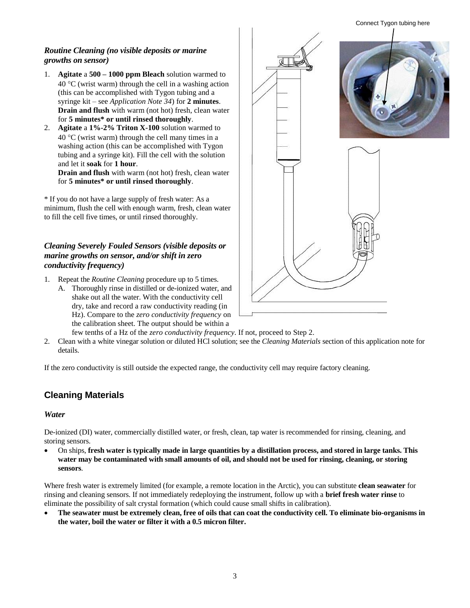#### *Routine Cleaning (no visible deposits or marine growths on sensor)*

- 1. **Agitate** a **500 – 1000 ppm Bleach** solution warmed to  $40^{\circ}$ C (wrist warm) through the cell in a washing action (this can be accomplished with Tygon tubing and a syringe kit – see *Application Note 34*) for **2 minutes**. **Drain and flush** with warm (not hot) fresh, clean water for **5 minutes\* or until rinsed thoroughly**.
- 2. **Agitate** a **1%-2% Triton X-100** solution warmed to  $40^{\circ}$ C (wrist warm) through the cell many times in a washing action (this can be accomplished with Tygon tubing and a syringe kit). Fill the cell with the solution and let it **soak** for **1 hour**.

**Drain and flush** with warm (not hot) fresh, clean water for **5 minutes\* or until rinsed thoroughly**.

\* If you do not have a large supply of fresh water: As a minimum, flush the cell with enough warm, fresh, clean water to fill the cell five times, or until rinsed thoroughly.

#### *Cleaning Severely Fouled Sensors (visible deposits or marine growths on sensor, and/or shift in zero conductivity frequency)*

- 1. Repeat the *Routine Cleaning* procedure up to 5 times.
	- A. Thoroughly rinse in distilled or de-ionized water, and shake out all the water. With the conductivity cell dry, take and record a raw conductivity reading (in Hz). Compare to the *zero conductivity frequency* on the calibration sheet. The output should be within a



- few tenths of a Hz of the *zero conductivity frequency*. If not, proceed to Step 2.
- 2. Clean with a white vinegar solution or diluted HCl solution; see the *Cleaning Materials* section of this application note for details.

If the zero conductivity is still outside the expected range, the conductivity cell may require factory cleaning.

## **Cleaning Materials**

#### *Water*

De-ionized (DI) water, commercially distilled water, or fresh, clean, tap water is recommended for rinsing, cleaning, and storing sensors.

 On ships, **fresh water is typically made in large quantities by a distillation process, and stored in large tanks. This**  water may be contaminated with small amounts of oil, and should not be used for rinsing, cleaning, or storing **sensors**.

Where fresh water is extremely limited (for example, a remote location in the Arctic), you can substitute **clean seawater** for rinsing and cleaning sensors. If not immediately redeploying the instrument, follow up with a **brief fresh water rinse** to eliminate the possibility of salt crystal formation (which could cause small shifts in calibration).

 **The seawater must be extremely clean, free of oils that can coat the conductivity cell. To eliminate bio-organisms in the water, boil the water or filter it with a 0.5 micron filter.**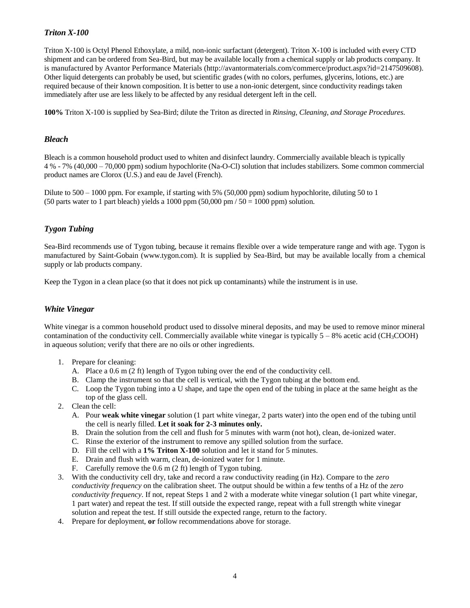#### *Triton X-100*

Triton X-100 is Octyl Phenol Ethoxylate, a mild, non-ionic surfactant (detergent). Triton X-100 is included with every CTD shipment and can be ordered from Sea-Bird, but may be available locally from a chemical supply or lab products company. It is manufactured by Avantor Performance Materials (http://avantormaterials.com/commerce/product.aspx?id=2147509608). Other liquid detergents can probably be used, but scientific grades (with no colors, perfumes, glycerins, lotions, etc.) are required because of their known composition. It is better to use a non-ionic detergent, since conductivity readings taken immediately after use are less likely to be affected by any residual detergent left in the cell.

**100%** Triton X-100 is supplied by Sea-Bird; dilute the Triton as directed in *Rinsing, Cleaning, and Storage Procedures*.

#### *Bleach*

Bleach is a common household product used to whiten and disinfect laundry. Commercially available bleach is typically 4 % - 7% (40,000 – 70,000 ppm) sodium hypochlorite (Na-O-Cl) solution that includes stabilizers. Some common commercial product names are Clorox (U.S.) and eau de Javel (French).

Dilute to 500 – 1000 ppm. For example, if starting with 5% (50,000 ppm) sodium hypochlorite, diluting 50 to 1 (50 parts water to 1 part bleach) yields a 1000 ppm  $(50,000 \text{ pm} / 50 = 1000 \text{ ppm})$  solution.

### *Tygon Tubing*

Sea-Bird recommends use of Tygon tubing, because it remains flexible over a wide temperature range and with age. Tygon is manufactured by Saint-Gobain (www.tygon.com). It is supplied by Sea-Bird, but may be available locally from a chemical supply or lab products company.

Keep the Tygon in a clean place (so that it does not pick up contaminants) while the instrument is in use.

#### *White Vinegar*

White vinegar is a common household product used to dissolve mineral deposits, and may be used to remove minor mineral contamination of the conductivity cell. Commercially available white vinegar is typically  $5 - 8\%$  acetic acid (CH<sub>3</sub>COOH) in aqueous solution; verify that there are no oils or other ingredients.

- 1. Prepare for cleaning:
	- A. Place a 0.6 m (2 ft) length of Tygon tubing over the end of the conductivity cell.
	- B. Clamp the instrument so that the cell is vertical, with the Tygon tubing at the bottom end.
	- C. Loop the Tygon tubing into a U shape, and tape the open end of the tubing in place at the same height as the top of the glass cell.
- 2. Clean the cell:
	- A. Pour **weak white vinegar** solution (1 part white vinegar, 2 parts water) into the open end of the tubing until the cell is nearly filled. **Let it soak for 2-3 minutes only.**
	- B. Drain the solution from the cell and flush for 5 minutes with warm (not hot), clean, de-ionized water.
	- C. Rinse the exterior of the instrument to remove any spilled solution from the surface.
	- D. Fill the cell with a **1% Triton X-100** solution and let it stand for 5 minutes.
	- E. Drain and flush with warm, clean, de-ionized water for 1 minute.
	- F. Carefully remove the 0.6 m (2 ft) length of Tygon tubing.
- 3. With the conductivity cell dry, take and record a raw conductivity reading (in Hz). Compare to the *zero conductivity frequency* on the calibration sheet. The output should be within a few tenths of a Hz of the *zero conductivity frequency*. If not, repeat Steps 1 and 2 with a moderate white vinegar solution (1 part white vinegar, 1 part water) and repeat the test. If still outside the expected range, repeat with a full strength white vinegar solution and repeat the test. If still outside the expected range, return to the factory.
- 4. Prepare for deployment, **or** follow recommendations above for storage.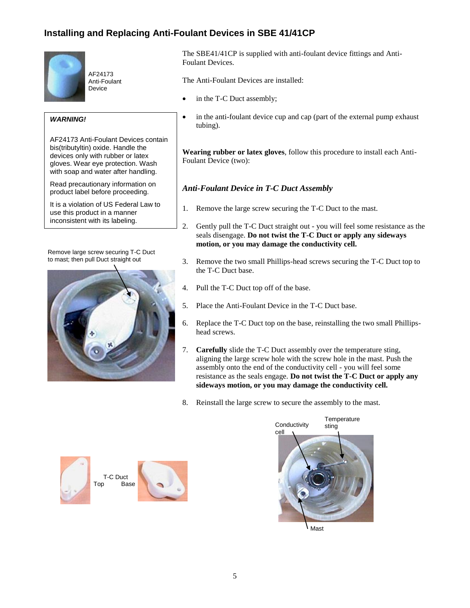# **Installing and Replacing Anti-Foulant Devices in SBE 41/41CP**



AF24173 Anti-Foulant **Device** 

#### *WARNING!*

AF24173 Anti-Foulant Devices contain bis(tributyltin) oxide. Handle the devices only with rubber or latex gloves. Wear eye protection. Wash with soap and water after handling.

Read precautionary information on product label before proceeding.

It is a violation of US Federal Law to use this product in a manner inconsistent with its labeling.

Remove large screw securing T-C Duct to mast; then pull Duct straight out



The SBE41/41CP is supplied with anti-foulant device fittings and Anti-Foulant Devices.

The Anti-Foulant Devices are installed:

- in the T-C Duct assembly;
- in the anti-foulant device cup and cap (part of the external pump exhaust tubing).

**Wearing rubber or latex gloves**, follow this procedure to install each Anti-Foulant Device (two):

## *Anti-Foulant Device in T-C Duct Assembly*

- 1. Remove the large screw securing the T-C Duct to the mast.
- 2. Gently pull the T-C Duct straight out you will feel some resistance as the seals disengage. **Do not twist the T-C Duct or apply any sideways motion, or you may damage the conductivity cell.**
- 3. Remove the two small Phillips-head screws securing the T-C Duct top to the T-C Duct base.
- 4. Pull the T-C Duct top off of the base.
- 5. Place the Anti-Foulant Device in the T-C Duct base.
- 6. Replace the T-C Duct top on the base, reinstalling the two small Phillipshead screws.
- 7. **Carefully** slide the T-C Duct assembly over the temperature sting, aligning the large screw hole with the screw hole in the mast. Push the assembly onto the end of the conductivity cell - you will feel some resistance as the seals engage. **Do not twist the T-C Duct or apply any sideways motion, or you may damage the conductivity cell.**
- 8. Reinstall the large screw to secure the assembly to the mast.







Mast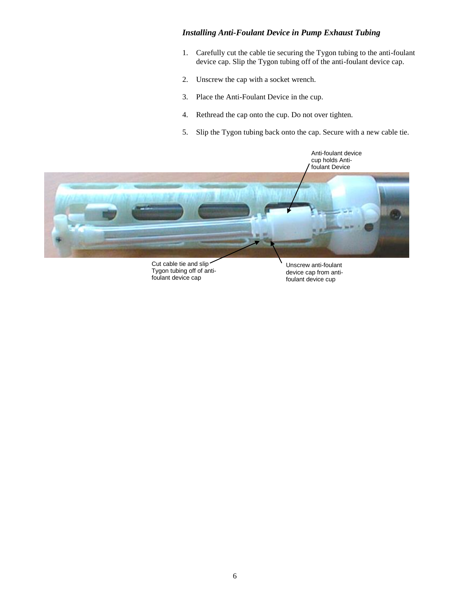#### *Installing Anti-Foulant Device in Pump Exhaust Tubing*

- 1. Carefully cut the cable tie securing the Tygon tubing to the anti-foulant device cap. Slip the Tygon tubing off of the anti-foulant device cap.
- 2. Unscrew the cap with a socket wrench.
- 3. Place the Anti-Foulant Device in the cup.
- 4. Rethread the cap onto the cup. Do not over tighten.
- 5. Slip the Tygon tubing back onto the cap. Secure with a new cable tie.



Cut cable tie and slip Tygon tubing off of antifoulant device cap

Unscrew anti-foulant device cap from antifoulant device cup